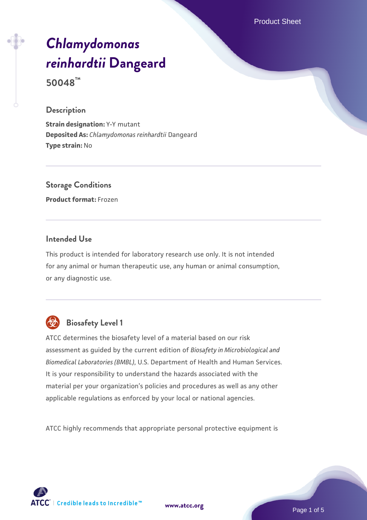Product Sheet

# *[Chlamydomonas](https://www.atcc.org/products/50048) [reinhardtii](https://www.atcc.org/products/50048)* **[Dangeard](https://www.atcc.org/products/50048)**

**50048™**

#### **Description**

**Strain designation:** Y-Y mutant **Deposited As:** *Chlamydomonas reinhardtii* Dangeard **Type strain:** No

## **Storage Conditions**

**Product format:** Frozen

#### **Intended Use**

This product is intended for laboratory research use only. It is not intended for any animal or human therapeutic use, any human or animal consumption, or any diagnostic use.



## **Biosafety Level 1**

ATCC determines the biosafety level of a material based on our risk assessment as guided by the current edition of *Biosafety in Microbiological and Biomedical Laboratories (BMBL)*, U.S. Department of Health and Human Services. It is your responsibility to understand the hazards associated with the material per your organization's policies and procedures as well as any other applicable regulations as enforced by your local or national agencies.

ATCC highly recommends that appropriate personal protective equipment is



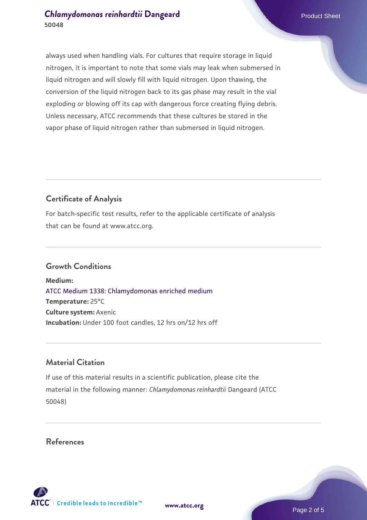## **[Chlamydomonas reinhardtii](https://www.atcc.org/products/50048)** [Dangeard](https://www.atcc.org/products/50048) **Product Sheet** Product Sheet **50048**

always used when handling vials. For cultures that require storage in liquid nitrogen, it is important to note that some vials may leak when submersed in liquid nitrogen and will slowly fill with liquid nitrogen. Upon thawing, the conversion of the liquid nitrogen back to its gas phase may result in the vial exploding or blowing off its cap with dangerous force creating flying debris. Unless necessary, ATCC recommends that these cultures be stored in the vapor phase of liquid nitrogen rather than submersed in liquid nitrogen.

## **Certificate of Analysis**

For batch-specific test results, refer to the applicable certificate of analysis that can be found at www.atcc.org.

#### **Growth Conditions**

**Medium:**  [ATCC Medium 1338: Chlamydomonas enriched medium](https://www.atcc.org/-/media/product-assets/documents/microbial-media-formulations/atcc-medium-1338.pdf?rev=57e59bbe75b64f3fb086102daf1c08ef) **Temperature:** 25°C **Culture system:** Axenic **Incubation:** Under 100 foot candles, 12 hrs on/12 hrs off

## **Material Citation**

If use of this material results in a scientific publication, please cite the material in the following manner: *Chlamydomonas reinhardtii* Dangeard (ATCC 50048)

#### **References**

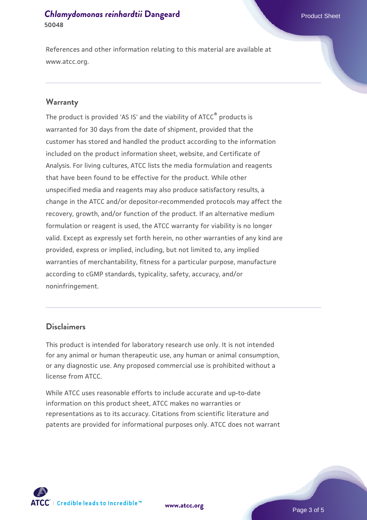## **[Chlamydomonas reinhardtii](https://www.atcc.org/products/50048)** [Dangeard](https://www.atcc.org/products/50048) **Product Sheet** Product Sheet **50048**

References and other information relating to this material are available at www.atcc.org.

#### **Warranty**

The product is provided 'AS IS' and the viability of ATCC® products is warranted for 30 days from the date of shipment, provided that the customer has stored and handled the product according to the information included on the product information sheet, website, and Certificate of Analysis. For living cultures, ATCC lists the media formulation and reagents that have been found to be effective for the product. While other unspecified media and reagents may also produce satisfactory results, a change in the ATCC and/or depositor-recommended protocols may affect the recovery, growth, and/or function of the product. If an alternative medium formulation or reagent is used, the ATCC warranty for viability is no longer valid. Except as expressly set forth herein, no other warranties of any kind are provided, express or implied, including, but not limited to, any implied warranties of merchantability, fitness for a particular purpose, manufacture according to cGMP standards, typicality, safety, accuracy, and/or noninfringement.

#### **Disclaimers**

This product is intended for laboratory research use only. It is not intended for any animal or human therapeutic use, any human or animal consumption, or any diagnostic use. Any proposed commercial use is prohibited without a license from ATCC.

While ATCC uses reasonable efforts to include accurate and up-to-date information on this product sheet, ATCC makes no warranties or representations as to its accuracy. Citations from scientific literature and patents are provided for informational purposes only. ATCC does not warrant



**[www.atcc.org](http://www.atcc.org)**

Page 3 of 5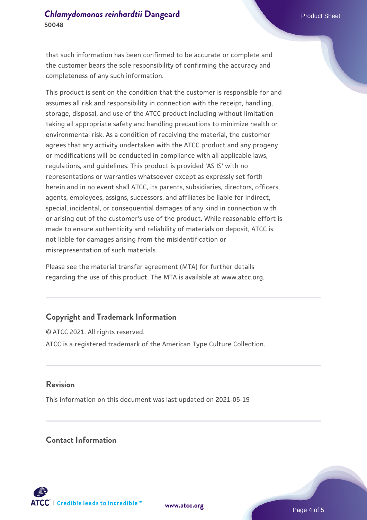that such information has been confirmed to be accurate or complete and the customer bears the sole responsibility of confirming the accuracy and completeness of any such information.

This product is sent on the condition that the customer is responsible for and assumes all risk and responsibility in connection with the receipt, handling, storage, disposal, and use of the ATCC product including without limitation taking all appropriate safety and handling precautions to minimize health or environmental risk. As a condition of receiving the material, the customer agrees that any activity undertaken with the ATCC product and any progeny or modifications will be conducted in compliance with all applicable laws, regulations, and guidelines. This product is provided 'AS IS' with no representations or warranties whatsoever except as expressly set forth herein and in no event shall ATCC, its parents, subsidiaries, directors, officers, agents, employees, assigns, successors, and affiliates be liable for indirect, special, incidental, or consequential damages of any kind in connection with or arising out of the customer's use of the product. While reasonable effort is made to ensure authenticity and reliability of materials on deposit, ATCC is not liable for damages arising from the misidentification or misrepresentation of such materials.

Please see the material transfer agreement (MTA) for further details regarding the use of this product. The MTA is available at www.atcc.org.

## **Copyright and Trademark Information**

© ATCC 2021. All rights reserved. ATCC is a registered trademark of the American Type Culture Collection.

#### **Revision**

This information on this document was last updated on 2021-05-19

#### **Contact Information**